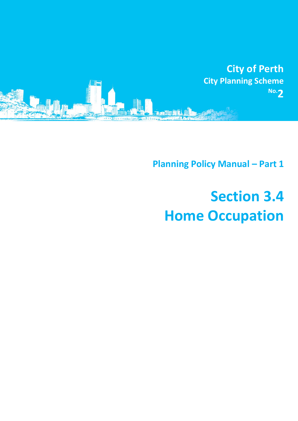

**Planning Policy Manual - Part 1** 

## **Section 3.4 Home Occupation**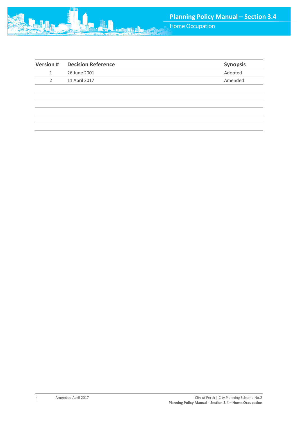

| <b>Version#</b> | <b>Decision Reference</b> | <b>Synopsis</b> |
|-----------------|---------------------------|-----------------|
| 1               | 26 June 2001              | Adopted         |
| $\mathcal{P}$   | 11 April 2017             | Amended         |
|                 |                           |                 |
|                 |                           |                 |
|                 |                           |                 |
|                 |                           |                 |
|                 |                           |                 |
|                 |                           |                 |